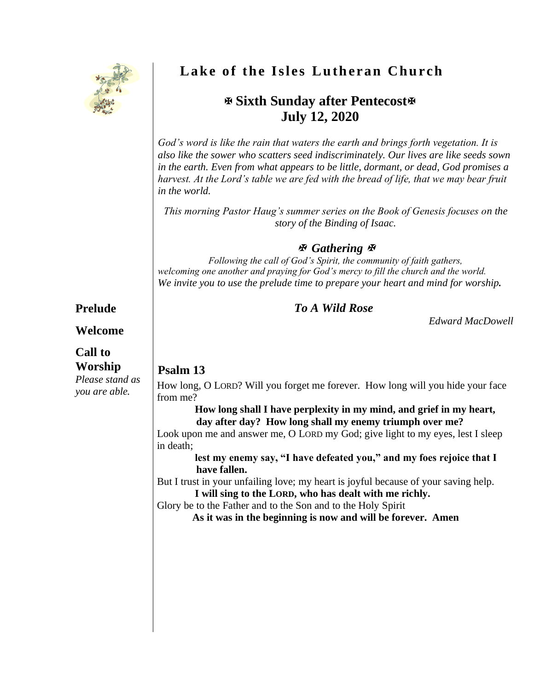

# Lake of the Isles Lutheran Church

# **Sixth Sunday after Pentecost July 12, 2020**

*God's word is like the rain that waters the earth and brings forth vegetation. It is also like the sower who scatters seed indiscriminately. Our lives are like seeds sown in the earth. Even from what appears to be little, dormant, or dead, God promises a harvest. At the Lord's table we are fed with the bread of life, that we may bear fruit in the world.*

*This morning Pastor Haug's summer series on the Book of Genesis focuses on the story of the Binding of Isaac.*

# *Gathering*

*Following the call of God's Spirit, the community of faith gathers, welcoming one another and praying for God's mercy to fill the church and the world. We invite you to use the prelude time to prepare your heart and mind for worship.*

# *To A Wild Rose*

*Edward MacDowell*

**Worship** *Please stand as you are able.*

**Prelude**

**Welcome**

**Call to** 

# **Psalm 13**

How long, O LORD? Will you forget me forever. How long will you hide your face from me?

**How long shall I have perplexity in my mind, and grief in my heart, day after day? How long shall my enemy triumph over me?** 

Look upon me and answer me, O LORD my God; give light to my eyes, lest I sleep in death;

**lest my enemy say, "I have defeated you," and my foes rejoice that I have fallen.** 

But I trust in your unfailing love; my heart is joyful because of your saving help. **I will sing to the LORD, who has dealt with me richly.**

Glory be to the Father and to the Son and to the Holy Spirit

**As it was in the beginning is now and will be forever. Amen**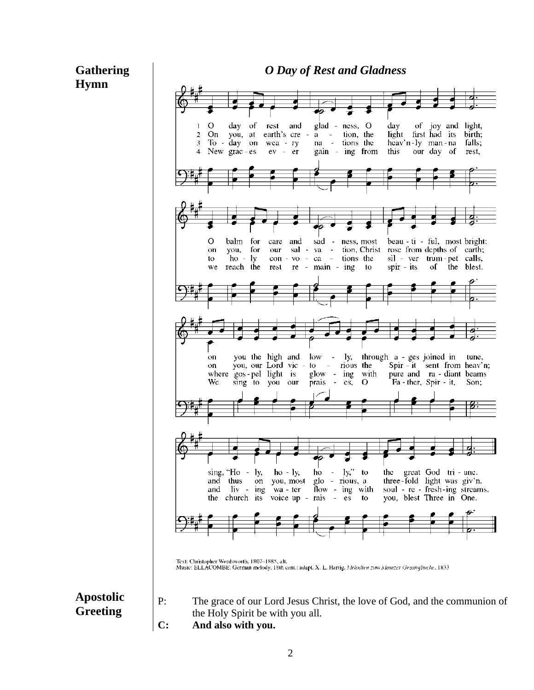# **Gathering Hymn**

*O Day of Rest and Gladness*



**Apostolic Greeting**

2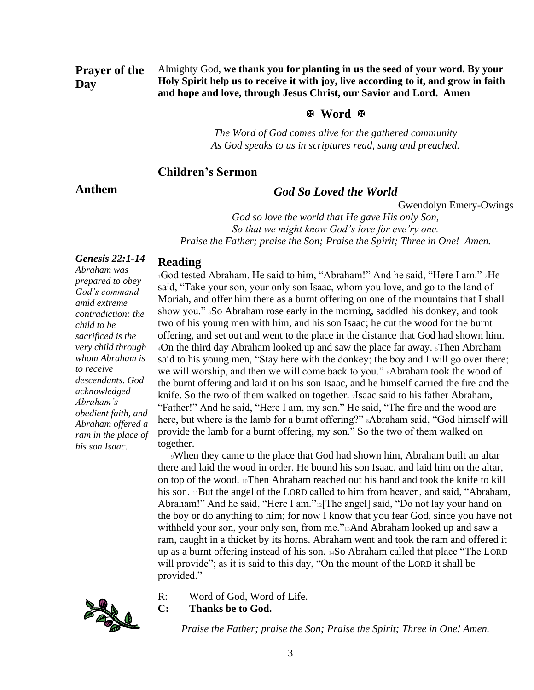# **Prayer of the Day**

**Anthem**

Almighty God, **we thank you for planting in us the seed of your word. By your Holy Spirit help us to receive it with joy, live according to it, and grow in faith and hope and love, through Jesus Christ, our Savior and Lord. Amen**

## **Word**

*The Word of God comes alive for the gathered community As God speaks to us in scriptures read, sung and preached.*

# **Children's Sermon**

# *God So Loved the World*

Gwendolyn Emery-Owings

*God so love the world that He gave His only Son, So that we might know God's love for eve'ry one. Praise the Father; praise the Son; Praise the Spirit; Three in One! Amen.*

## **Reading**

*Abraham was prepared to obey God's command amid extreme contradiction: the child to be sacrificed is the very child through whom Abraham is to receive descendants. God acknowledged Abraham's obedient faith, and Abraham offered a ram in the place of his son Isaac.*

*Genesis 22:1-14*

<sup>1</sup>God tested Abraham. He said to him, "Abraham!" And he said, "Here I am." 2He said, "Take your son, your only son Isaac, whom you love, and go to the land of Moriah, and offer him there as a burnt offering on one of the mountains that I shall show you." 3So Abraham rose early in the morning, saddled his donkey, and took two of his young men with him, and his son Isaac; he cut the wood for the burnt offering, and set out and went to the place in the distance that God had shown him. <sup>4</sup>On the third day Abraham looked up and saw the place far away. 5Then Abraham said to his young men, "Stay here with the donkey; the boy and I will go over there; we will worship, and then we will come back to you." <sup>6</sup>Abraham took the wood of the burnt offering and laid it on his son Isaac, and he himself carried the fire and the knife. So the two of them walked on together. 7Isaac said to his father Abraham, "Father!" And he said, "Here I am, my son." He said, "The fire and the wood are here, but where is the lamb for a burnt offering?" 8Abraham said, "God himself will provide the lamb for a burnt offering, my son." So the two of them walked on together.

<sup>9</sup>When they came to the place that God had shown him, Abraham built an altar there and laid the wood in order. He bound his son Isaac, and laid him on the altar, on top of the wood. 10Then Abraham reached out his hand and took the knife to kill his son. 11But the angel of the LORD called to him from heaven, and said, "Abraham, Abraham!" And he said, "Here I am."<sup>12</sup>[The angel] said, "Do not lay your hand on the boy or do anything to him; for now I know that you fear God, since you have not withheld your son, your only son, from me."<sup>13</sup>And Abraham looked up and saw a ram, caught in a thicket by its horns. Abraham went and took the ram and offered it up as a burnt offering instead of his son. 14So Abraham called that place "The LORD will provide"; as it is said to this day, "On the mount of the LORD it shall be provided."



- R: Word of God, Word of Life.
- **C: Thanks be to God.**

*Praise the Father; praise the Son; Praise the Spirit; Three in One! Amen.*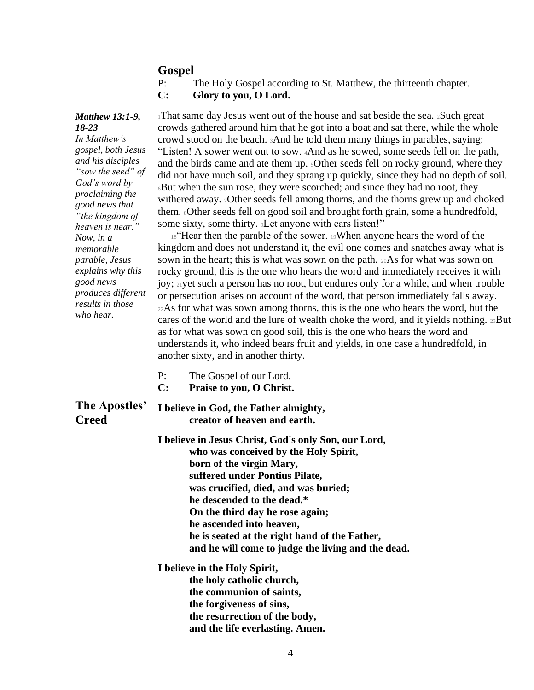|                                                                                                                                                                                                                                                                                                                                                       | <b>Gospel</b>                                                                                                                                                                                                                                                                                                                                                                                                                                                                                                                                                                                                                                                                                                                                                                                                                                                                                                                                                                                                                                                                                                                                                                                                                                                                                                                                                                                                                                                                                                                                                                                                                                                                                                                                           |  |  |
|-------------------------------------------------------------------------------------------------------------------------------------------------------------------------------------------------------------------------------------------------------------------------------------------------------------------------------------------------------|---------------------------------------------------------------------------------------------------------------------------------------------------------------------------------------------------------------------------------------------------------------------------------------------------------------------------------------------------------------------------------------------------------------------------------------------------------------------------------------------------------------------------------------------------------------------------------------------------------------------------------------------------------------------------------------------------------------------------------------------------------------------------------------------------------------------------------------------------------------------------------------------------------------------------------------------------------------------------------------------------------------------------------------------------------------------------------------------------------------------------------------------------------------------------------------------------------------------------------------------------------------------------------------------------------------------------------------------------------------------------------------------------------------------------------------------------------------------------------------------------------------------------------------------------------------------------------------------------------------------------------------------------------------------------------------------------------------------------------------------------------|--|--|
|                                                                                                                                                                                                                                                                                                                                                       | P:<br>The Holy Gospel according to St. Matthew, the thirteenth chapter.<br>C:<br>Glory to you, O Lord.                                                                                                                                                                                                                                                                                                                                                                                                                                                                                                                                                                                                                                                                                                                                                                                                                                                                                                                                                                                                                                                                                                                                                                                                                                                                                                                                                                                                                                                                                                                                                                                                                                                  |  |  |
| <b>Matthew 13:1-9,</b><br>$18 - 23$<br>In Matthew's<br>gospel, both Jesus<br>and his disciples<br>"sow the seed" of<br>God's word by<br>proclaiming the<br>good news that<br>"the kingdom of<br>heaven is near."<br>Now, in a<br>memorable<br>parable, Jesus<br>explains why this<br>good news<br>produces different<br>results in those<br>who hear. | That same day Jesus went out of the house and sat beside the sea. 2Such great<br>crowds gathered around him that he got into a boat and sat there, while the whole<br>crowd stood on the beach. And he told them many things in parables, saying:<br>"Listen! A sower went out to sow. 4And as he sowed, some seeds fell on the path,<br>and the birds came and ate them up. sOther seeds fell on rocky ground, where they<br>did not have much soil, and they sprang up quickly, since they had no depth of soil.<br>6But when the sun rose, they were scorched; and since they had no root, they<br>withered away. 7Other seeds fell among thorns, and the thorns grew up and choked<br>them. »Other seeds fell on good soil and brought forth grain, some a hundredfold,<br>some sixty, some thirty. I Let anyone with ears listen!"<br>18 Hear then the parable of the sower. 19 When anyone hears the word of the<br>kingdom and does not understand it, the evil one comes and snatches away what is<br>sown in the heart; this is what was sown on the path. 20As for what was sown on<br>rocky ground, this is the one who hears the word and immediately receives it with<br>joy; 21yet such a person has no root, but endures only for a while, and when trouble<br>or persecution arises on account of the word, that person immediately falls away.<br>22As for what was sown among thorns, this is the one who hears the word, but the<br>cares of the world and the lure of wealth choke the word, and it yields nothing. 23But<br>as for what was sown on good soil, this is the one who hears the word and<br>understands it, who indeed bears fruit and yields, in one case a hundredfold, in<br>another sixty, and in another thirty. |  |  |
|                                                                                                                                                                                                                                                                                                                                                       | P:<br>The Gospel of our Lord.<br>C:<br>Praise to you, O Christ.                                                                                                                                                                                                                                                                                                                                                                                                                                                                                                                                                                                                                                                                                                                                                                                                                                                                                                                                                                                                                                                                                                                                                                                                                                                                                                                                                                                                                                                                                                                                                                                                                                                                                         |  |  |
| The Apostles'<br><b>Creed</b>                                                                                                                                                                                                                                                                                                                         | I believe in God, the Father almighty,<br>creator of heaven and earth.                                                                                                                                                                                                                                                                                                                                                                                                                                                                                                                                                                                                                                                                                                                                                                                                                                                                                                                                                                                                                                                                                                                                                                                                                                                                                                                                                                                                                                                                                                                                                                                                                                                                                  |  |  |
|                                                                                                                                                                                                                                                                                                                                                       | I believe in Jesus Christ, God's only Son, our Lord,<br>who was conceived by the Holy Spirit,<br>born of the virgin Mary,<br>suffered under Pontius Pilate,<br>was crucified, died, and was buried;<br>he descended to the dead.*<br>On the third day he rose again;<br>he ascended into heaven,<br>he is seated at the right hand of the Father,<br>and he will come to judge the living and the dead.<br>I believe in the Holy Spirit,<br>the holy catholic church,<br>the communion of saints,<br>the forgiveness of sins,<br>the resurrection of the body,<br>and the life everlasting. Amen.                                                                                                                                                                                                                                                                                                                                                                                                                                                                                                                                                                                                                                                                                                                                                                                                                                                                                                                                                                                                                                                                                                                                                       |  |  |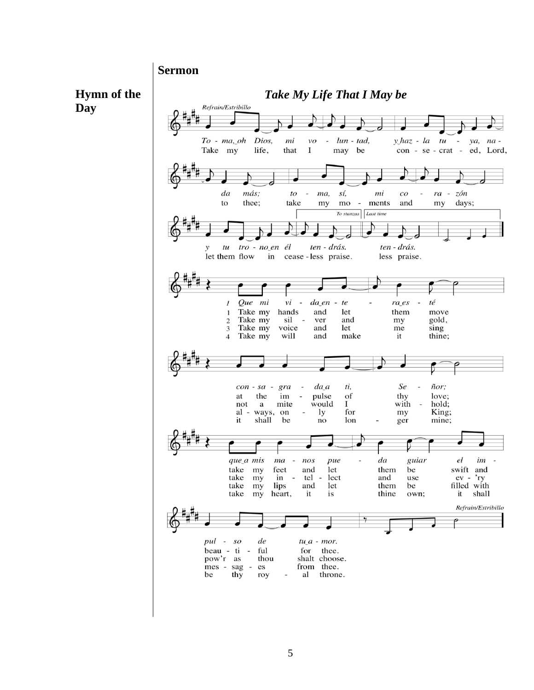**Sermon**

**Hymn of the Day**

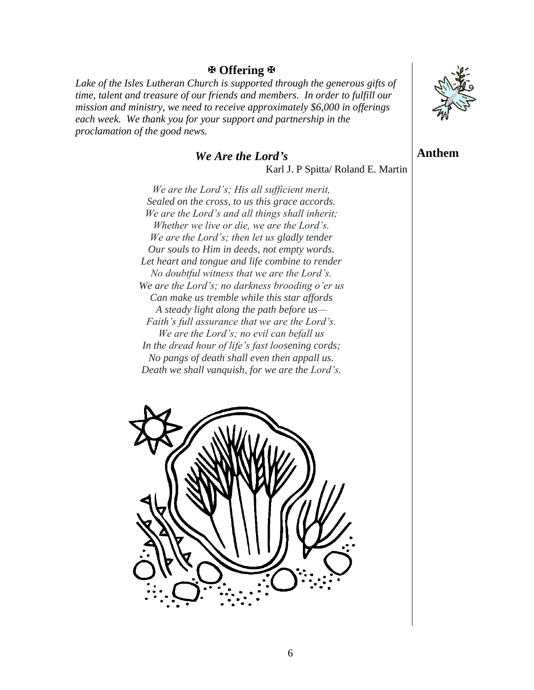### **Offering**

*Lake of the Isles Lutheran Church is supported through the generous gifts of time, talent and treasure of our friends and members. In order to fulfill our mission and ministry, we need to receive approximately \$6,000 in offerings each week. We thank you for your support and partnership in the proclamation of the good news.*

## *We Are the Lord's* Karl J. P Spitta/ Roland E. Martin

*We are the Lord's; His all sufficient merit, Sealed on the cross, to us this grace accords. We are the Lord's and all things shall inherit; Whether we live or die, we are the Lord's. We are the Lord's; then let us gladly tender Our souls to Him in deeds, not empty words. Let heart and tongue and life combine to render No doubtful witness that we are the Lord's. We are the Lord's; no darkness brooding o'er us Can make us tremble while this star affords A steady light along the path before us— Faith's full assurance that we are the Lord's. We are the Lord's; no evil can befall us In the dread hour of life's fast loosening cords; No pangs of death shall even then appall us. Death we shall vanquish, for we are the Lord's.*





#### **Anthem**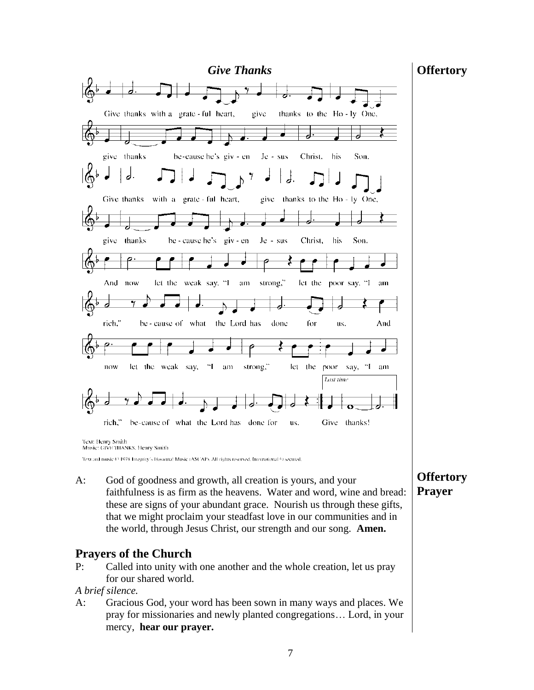

7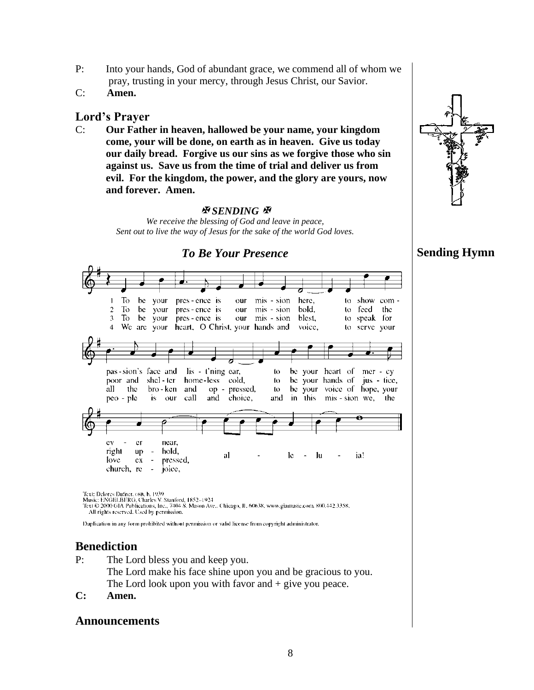- P: Into your hands, God of abundant grace, we commend all of whom we pray, trusting in your mercy, through Jesus Christ, our Savior.
- C: **Amen.**

## **Lord's Prayer**

C: **Our Father in heaven, hallowed be your name, your kingdom come, your will be done, on earth as in heaven. Give us today our daily bread. Forgive us our sins as we forgive those who sin against us. Save us from the time of trial and deliver us from evil. For the kingdom, the power, and the glory are yours, now and forever. Amen.**

#### **图SENDING** 图





Text © 2000 GIA Publications, Inc., 7404 S. Mason Ave., Chicago, IL 60638, www.giamusic.com, 800,442,3358,

All rights reserved. Used by permission.

Duplication in any form prohibited without permission or valid license from copyright administrator.

## **Benediction**

- P: The Lord bless you and keep you. The Lord make his face shine upon you and be gracious to you. The Lord look upon you with favor and  $+$  give you peace.
- **C: Amen.**

## **Announcements**

# **Sending Hymn**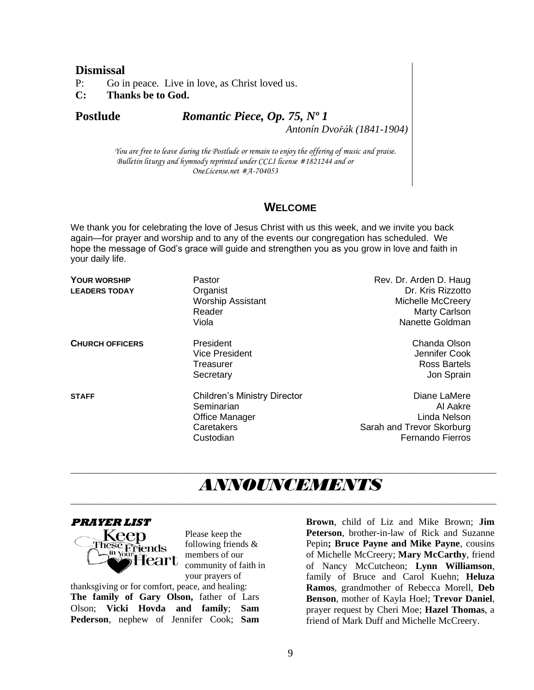#### **Dismissal**

P: Go in peace. Live in love, as Christ loved us.

**C: Thanks be to God.** 

**Postlude** *Romantic Piece, Op. 75, Nº 1*

*Antonín Dvořák (1841-1904)*

*You are free to leave during the Postlude or remain to enjoy the offering of music and praise. Bulletin liturgy and hymnody reprinted under CCLI license #1821244 and or OneLicense.net #A-704053*

## **WELCOME**

We thank you for celebrating the love of Jesus Christ with us this week, and we invite you back again—for prayer and worship and to any of the events our congregation has scheduled. We hope the message of God's grace will guide and strengthen you as you grow in love and faith in your daily life.

| <b>YOUR WORSHIP</b><br><b>LEADERS TODAY</b> | Pastor<br>Organist<br><b>Worship Assistant</b><br>Reader<br>Viola                                     | Rev. Dr. Arden D. Haug<br>Dr. Kris Rizzotto<br><b>Michelle McCreery</b><br>Marty Carlson<br>Nanette Goldman |
|---------------------------------------------|-------------------------------------------------------------------------------------------------------|-------------------------------------------------------------------------------------------------------------|
| <b>CHURCH OFFICERS</b>                      | President<br><b>Vice President</b><br>Treasurer<br>Secretary                                          | Chanda Olson<br>Jennifer Cook<br>Ross Bartels<br>Jon Sprain                                                 |
| <b>STAFF</b>                                | <b>Children's Ministry Director</b><br>Seminarian<br><b>Office Manager</b><br>Caretakers<br>Custodian | Diane LaMere<br>Al Aakre<br>Linda Nelson<br>Sarah and Trevor Skorburg<br><b>Fernando Fierros</b>            |

# *ANNOUNCEMENTS*

\_\_\_\_\_\_\_\_\_\_\_\_\_\_\_\_\_\_\_\_\_\_\_\_\_\_\_\_\_\_\_\_\_\_\_\_\_\_\_\_\_\_\_\_\_\_\_\_\_\_\_\_\_\_\_\_\_\_\_\_\_\_\_\_\_\_\_\_\_\_\_\_\_\_\_\_\_\_\_\_\_\_\_\_\_\_\_\_\_\_\_\_\_

\_\_\_\_\_\_\_\_\_\_\_\_\_\_\_\_\_\_\_\_\_\_\_\_\_\_\_\_\_\_\_\_\_\_\_\_\_\_\_\_\_\_\_\_\_\_\_\_\_\_\_\_\_\_\_\_\_\_\_\_\_\_\_\_\_\_\_\_\_\_\_\_\_\_\_\_\_\_\_\_\_\_\_\_\_\_\_\_\_\_\_\_\_



Please keep the following friends & members of our community of faith in your prayers of

thanksgiving or for comfort, peace, and healing: **The family of Gary Olson,** father of Lars Olson; **Vicki Hovda and family**; **Sam Pederson**, nephew of Jennifer Cook; **Sam**  **Brown**, child of Liz and Mike Brown; **Jim Peterson**, brother-in-law of Rick and Suzanne Pepin**; Bruce Payne and Mike Payne**, cousins of Michelle McCreery; **Mary McCarthy**, friend of Nancy McCutcheon; **Lynn Williamson**, family of Bruce and Carol Kuehn; **Heluza Ramos**, grandmother of Rebecca Morell, **Deb Benson**, mother of Kayla Hoel; **Trevor Daniel**, prayer request by Cheri Moe; **Hazel Thomas**, a friend of Mark Duff and Michelle McCreery.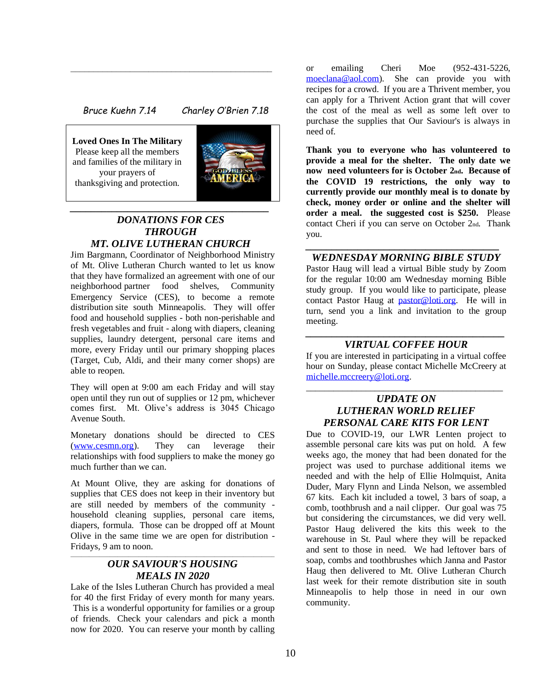*Bruce Kuehn 7.14 Charley O'Brien 7.18*

**Loved Ones In The Military** Please keep all the members and families of the military in your prayers of thanksgiving and protection.



#### *DONATIONS FOR CES THROUGH MT. OLIVE LUTHERAN CHURCH*

*\_\_\_\_\_\_\_\_\_\_\_\_\_\_\_\_\_\_\_\_\_\_\_\_\_\_\_\_\_\_\_\_\_\_\_\_\_\_*

\_\_\_\_\_\_\_\_\_\_\_\_\_\_\_\_\_\_\_\_\_\_\_\_\_\_\_\_\_\_\_\_\_\_\_\_\_\_\_\_\_\_\_\_

Jim Bargmann, Coordinator of Neighborhood Ministry of Mt. Olive Lutheran Church wanted to let us know that they have formalized an agreement with one of our neighborhood partner food shelves, Community Emergency Service (CES), to become a remote distribution site south Minneapolis. They will offer food and household supplies - both non-perishable and fresh vegetables and fruit - along with diapers, cleaning supplies, laundry detergent, personal care items and more, every Friday until our primary shopping places (Target, Cub, Aldi, and their many corner shops) are able to reopen.

They will open at 9:00 am each Friday and will stay open until they run out of supplies or 12 pm, whichever comes first. Mt. Olive's address is 3045 Chicago Avenue South.

Monetary donations should be directed to CES [\(www.cesmn.org\)](http://www.cesmn.org/). They can leverage their relationships with food suppliers to make the money go much further than we can.

At Mount Olive, they are asking for donations of supplies that CES does not keep in their inventory but are still needed by members of the community household cleaning supplies, personal care items, diapers, formula. Those can be dropped off at Mount Olive in the same time we are open for distribution - Fridays, 9 am to noon.

#### \_\_\_\_\_\_\_\_\_\_\_\_\_\_\_\_\_\_\_\_\_\_\_\_\_\_\_\_\_\_\_\_\_\_\_\_\_\_\_\_\_\_\_\_\_\_\_\_\_\_\_\_\_\_\_\_\_\_\_\_\_\_\_\_\_\_\_\_\_\_\_\_\_\_\_\_\_\_ *OUR SAVIOUR'S HOUSING MEALS IN 2020*

Lake of the Isles Lutheran Church has provided a meal for 40 the first Friday of every month for many years. This is a wonderful opportunity for families or a group of friends. Check your calendars and pick a month now for 2020. You can reserve your month by calling or emailing Cheri Moe (952-431-5226, [moeclana@aol.com\)](mailto:moeclana@aol.com). She can provide you with recipes for a crowd. If you are a Thrivent member, you can apply for a Thrivent Action grant that will cover the cost of the meal as well as some left over to purchase the supplies that Our Saviour's is always in need of.

**Thank you to everyone who has volunteered to provide a meal for the shelter. The only date we now need volunteers for is October 2nd. Because of the COVID 19 restrictions, the only way to currently provide our monthly meal is to donate by check, money order or online and the shelter will order a meal. the suggested cost is \$250.** Please contact Cheri if you can serve on October 2nd. Thank you.

#### *\_\_\_\_\_\_\_\_\_\_\_\_\_\_\_\_\_\_\_\_\_\_\_\_\_\_\_\_\_\_\_\_\_\_\_\_\_ WEDNESDAY MORNING BIBLE STUDY*

Pastor Haug will lead a virtual Bible study by Zoom for the regular 10:00 am Wednesday morning Bible study group. If you would like to participate, please contact Pastor Haug at [pastor@loti.org.](mailto:pastor@loti.org) He will in turn, send you a link and invitation to the group meeting.

#### *\_\_\_\_\_\_\_\_\_\_\_\_\_\_\_\_\_\_\_\_\_\_\_\_\_\_\_\_\_\_\_\_\_\_\_\_\_\_ VIRTUAL COFFEE HOUR*

If you are interested in participating in a virtual coffee hour on Sunday, please contact Michelle McCreery at [michelle.mccreery@loti.org.](mailto:michelle.mccreery@loti.org)

#### *UPDATE ON LUTHERAN WORLD RELIEF PERSONAL CARE KITS FOR LENT*

\_\_\_\_\_\_\_\_\_\_\_\_\_\_\_\_\_\_\_\_\_\_\_\_\_\_\_\_\_\_\_\_\_\_\_\_\_\_\_\_\_\_\_

Due to COVID-19, our LWR Lenten project to assemble personal care kits was put on hold. A few weeks ago, the money that had been donated for the project was used to purchase additional items we needed and with the help of Ellie Holmquist, Anita Duder, Mary Flynn and Linda Nelson, we assembled 67 kits. Each kit included a towel, 3 bars of soap, a comb, toothbrush and a nail clipper. Our goal was 75 but considering the circumstances, we did very well. Pastor Haug delivered the kits this week to the warehouse in St. Paul where they will be repacked and sent to those in need. We had leftover bars of soap, combs and toothbrushes which Janna and Pastor Haug then delivered to Mt. Olive Lutheran Church last week for their remote distribution site in south Minneapolis to help those in need in our own community.